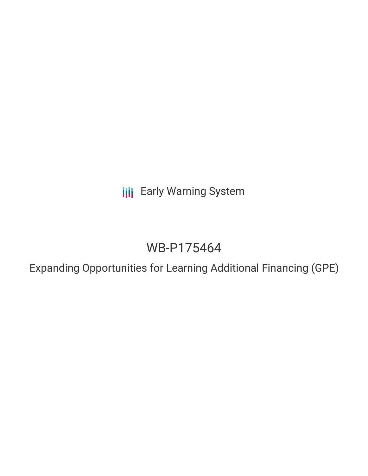**III** Early Warning System

# WB-P175464

Expanding Opportunities for Learning Additional Financing (GPE)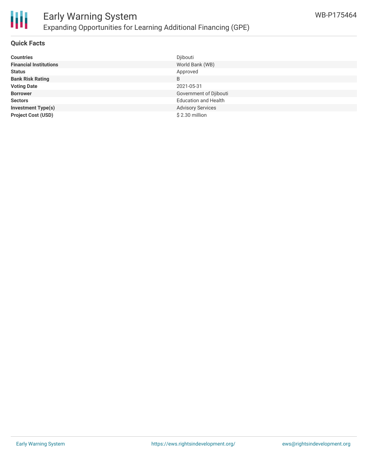

#### **Quick Facts**

| <b>Countries</b>              | Djibouti                    |
|-------------------------------|-----------------------------|
| <b>Financial Institutions</b> | World Bank (WB)             |
| <b>Status</b>                 | Approved                    |
| <b>Bank Risk Rating</b>       | B                           |
| <b>Voting Date</b>            | 2021-05-31                  |
| <b>Borrower</b>               | Government of Djibouti      |
| <b>Sectors</b>                | <b>Education and Health</b> |
| <b>Investment Type(s)</b>     | <b>Advisory Services</b>    |
| <b>Project Cost (USD)</b>     | $$2.30$ million             |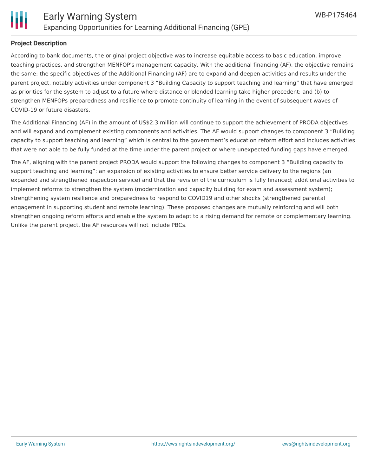

### **Project Description**

According to bank documents, the original project objective was to increase equitable access to basic education, improve teaching practices, and strengthen MENFOP's management capacity. With the additional financing (AF), the objective remains the same: the specific objectives of the Additional Financing (AF) are to expand and deepen activities and results under the parent project, notably activities under component 3 "Building Capacity to support teaching and learning" that have emerged as priorities for the system to adjust to a future where distance or blended learning take higher precedent; and (b) to strengthen MENFOPs preparedness and resilience to promote continuity of learning in the event of subsequent waves of COVID-19 or future disasters.

The Additional Financing (AF) in the amount of US\$2.3 million will continue to support the achievement of PRODA objectives and will expand and complement existing components and activities. The AF would support changes to component 3 "Building capacity to support teaching and learning" which is central to the government's education reform effort and includes activities that were not able to be fully funded at the time under the parent project or where unexpected funding gaps have emerged.

The AF, aligning with the parent project PRODA would support the following changes to component 3 "Building capacity to support teaching and learning": an expansion of existing activities to ensure better service delivery to the regions (an expanded and strengthened inspection service) and that the revision of the curriculum is fully financed; additional activities to implement reforms to strengthen the system (modernization and capacity building for exam and assessment system); strengthening system resilience and preparedness to respond to COVID19 and other shocks (strengthened parental engagement in supporting student and remote learning). These proposed changes are mutually reinforcing and will both strengthen ongoing reform efforts and enable the system to adapt to a rising demand for remote or complementary learning. Unlike the parent project, the AF resources will not include PBCs.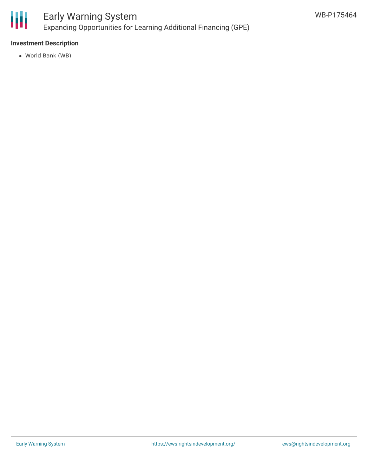

# **Investment Description**

World Bank (WB)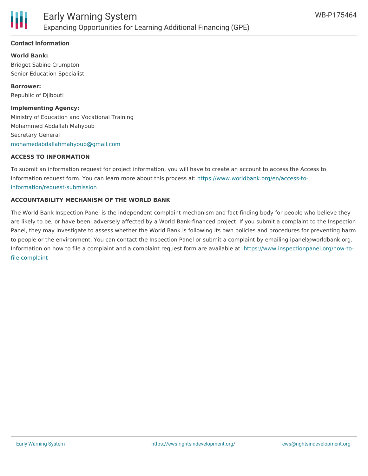

# **Contact Information**

**World Bank:** Bridget Sabine Crumpton Senior Education Specialist

**Borrower:** Republic of Djibouti

#### **Implementing Agency:**

Ministry of Education and Vocational Training Mohammed Abdallah Mahyoub Secretary General [mohamedabdallahmahyoub@gmail.com](mailto:mohamedabdallahmahyoub@gmail.com)

#### **ACCESS TO INFORMATION**

To submit an information request for project information, you will have to create an account to access the Access to Information request form. You can learn more about this process at: [https://www.worldbank.org/en/access-to](https://www.worldbank.org/en/access-to-information/request-submission)information/request-submission

# **ACCOUNTABILITY MECHANISM OF THE WORLD BANK**

The World Bank Inspection Panel is the independent complaint mechanism and fact-finding body for people who believe they are likely to be, or have been, adversely affected by a World Bank-financed project. If you submit a complaint to the Inspection Panel, they may investigate to assess whether the World Bank is following its own policies and procedures for preventing harm to people or the environment. You can contact the Inspection Panel or submit a complaint by emailing ipanel@worldbank.org. Information on how to file a complaint and a complaint request form are available at: [https://www.inspectionpanel.org/how-to](https://www.inspectionpanel.org/how-to-file-complaint)file-complaint